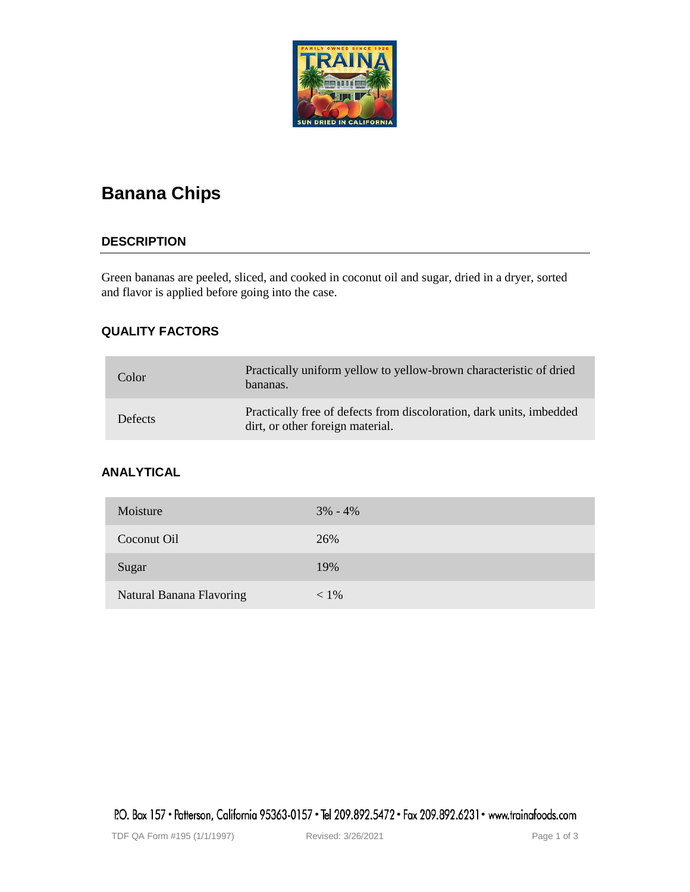

# **Banana Chips**

# **DESCRIPTION**

Green bananas are peeled, sliced, and cooked in coconut oil and sugar, dried in a dryer, sorted and flavor is applied before going into the case.

# **QUALITY FACTORS**

| Color          | Practically uniform yellow to yellow-brown characteristic of dried<br>bananas.                           |
|----------------|----------------------------------------------------------------------------------------------------------|
| <b>Defects</b> | Practically free of defects from discoloration, dark units, imbedded<br>dirt, or other foreign material. |

# **ANALYTICAL**

| Moisture                 | $3\% - 4\%$ |
|--------------------------|-------------|
| Coconut Oil              | 26%         |
| Sugar                    | 19%         |
| Natural Banana Flavoring | $< 1\%$     |

P.O. Box 157 • Patterson, California 95363-0157 • Tel 209.892.5472 • Fax 209.892.6231 • www.trainafoods.com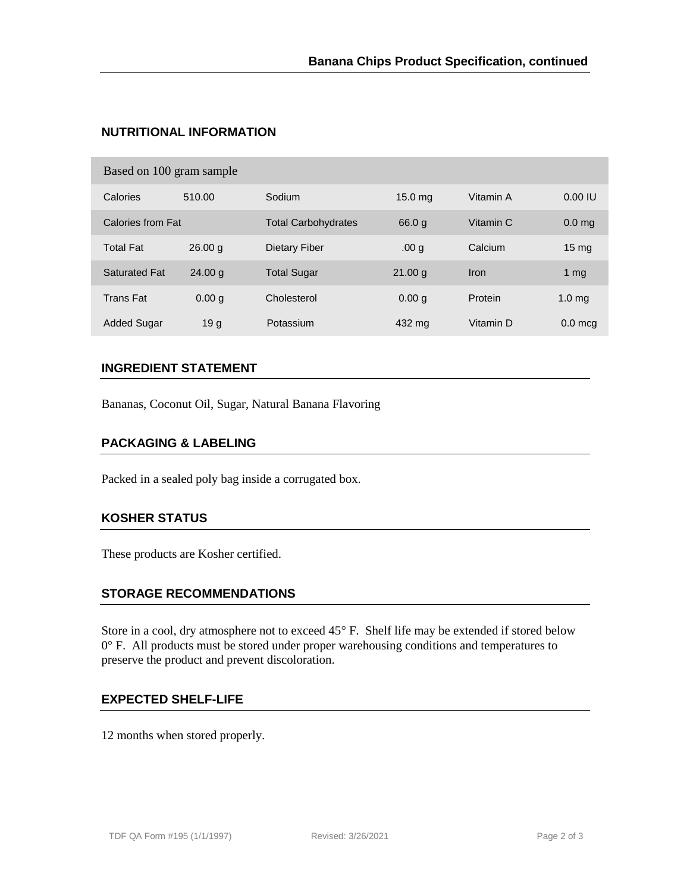# **NUTRITIONAL INFORMATION**

| Based on 100 gram sample |                    |                            |                    |             |                   |  |  |
|--------------------------|--------------------|----------------------------|--------------------|-------------|-------------------|--|--|
| Calories                 | 510.00             | Sodium                     | 15.0 <sub>mg</sub> | Vitamin A   | 0.001U            |  |  |
| Calories from Fat        |                    | <b>Total Carbohydrates</b> | 66.0q              | Vitamin C   | 0.0 <sub>mg</sub> |  |  |
| <b>Total Fat</b>         | 26.00 q            | Dietary Fiber              | .00 <sub>g</sub>   | Calcium     | 15 <sub>mg</sub>  |  |  |
| <b>Saturated Fat</b>     | 24.00 <sub>q</sub> | <b>Total Sugar</b>         | 21.00 <sub>a</sub> | <b>Iron</b> | 1 $mg$            |  |  |
| <b>Trans Fat</b>         | 0.00 g             | Cholesterol                | 0.00 <sub>q</sub>  | Protein     | 1.0 <sub>mq</sub> |  |  |
| <b>Added Sugar</b>       | 19 <sub>q</sub>    | Potassium                  | 432 mg             | Vitamin D   | $0.0$ mcg         |  |  |

## **INGREDIENT STATEMENT**

Bananas, Coconut Oil, Sugar, Natural Banana Flavoring

#### **PACKAGING & LABELING**

Packed in a sealed poly bag inside a corrugated box.

#### **KOSHER STATUS**

These products are Kosher certified.

## **STORAGE RECOMMENDATIONS**

Store in a cool, dry atmosphere not to exceed 45° F. Shelf life may be extended if stored below 0° F. All products must be stored under proper warehousing conditions and temperatures to preserve the product and prevent discoloration.

## **EXPECTED SHELF-LIFE**

12 months when stored properly.